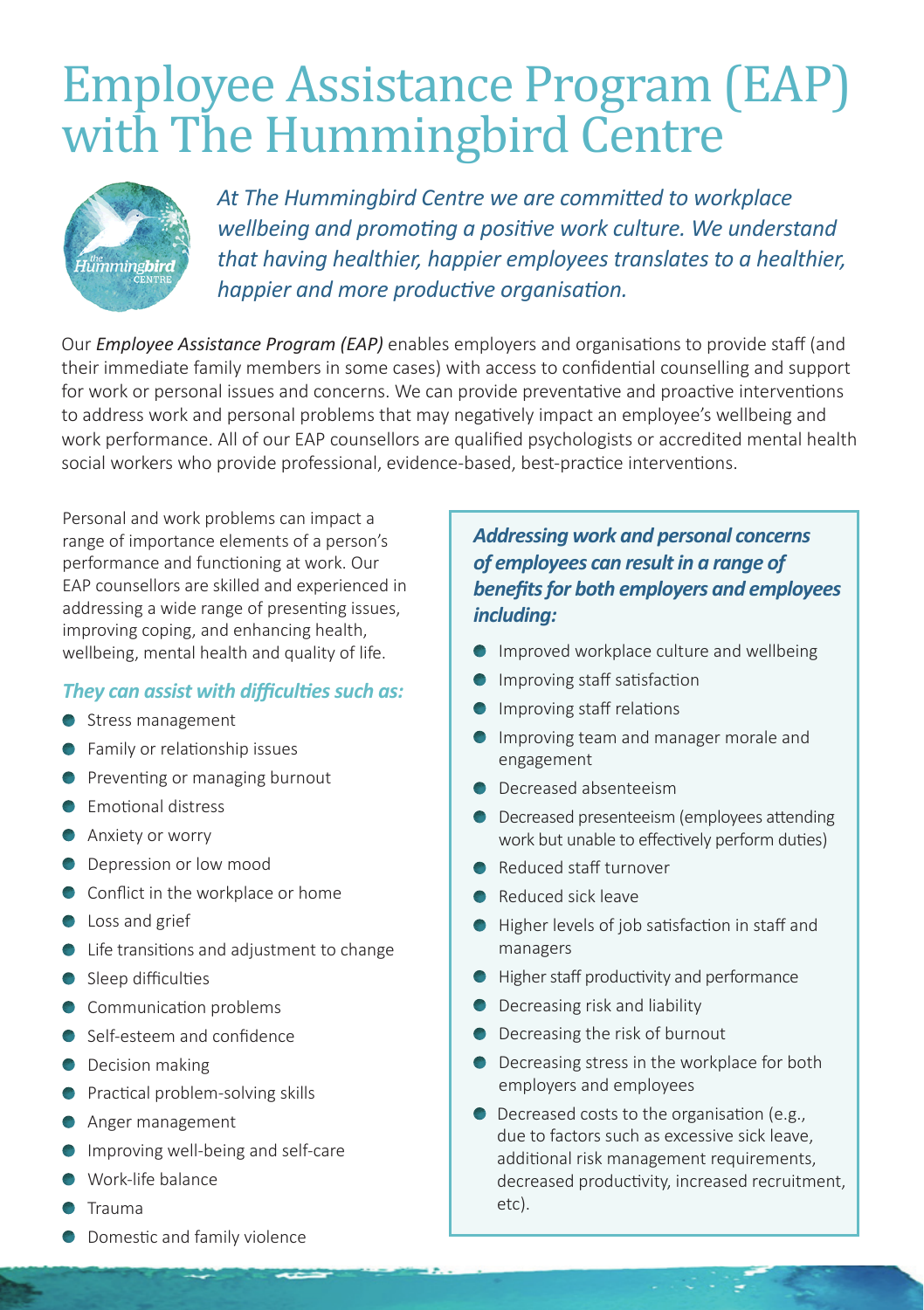# Employee Assistance Program (EAP) with The Hummingbird Centre



*At The Hummingbird Centre we are committed to workplace wellbeing and promoting a positive work culture. We understand that having healthier, happier employees translates to a healthier, happier and more productive organisation.*

Our *Employee Assistance Program (EAP)* enables employers and organisations to provide staff (and their immediate family members in some cases) with access to confidential counselling and support for work or personal issues and concerns. We can provide preventative and proactive interventions to address work and personal problems that may negatively impact an employee's wellbeing and work performance. All of our EAP counsellors are qualified psychologists or accredited mental health social workers who provide professional, evidence-based, best-practice interventions.

Personal and work problems can impact a range of importance elements of a person's performance and functioning at work. Our EAP counsellors are skilled and experienced in addressing a wide range of presenting issues, improving coping, and enhancing health, wellbeing, mental health and quality of life.

### *They can assist with difficulties such as:*

- Stress management
- **•** Family or relationship issues
- **Preventing or managing burnout**
- **Emotional distress**
- **Anxiety or worry**
- **O** Depression or low mood
- **Conflict in the workplace or home**
- **C** Loss and grief
- Life transitions and adjustment to change
- Sleep difficulties
- Communication problems
- Self-esteem and confidence
- **O** Decision making
- **•** Practical problem-solving skills
- **Anger management**
- **Improving well-being and self-care**
- Work-life balance
- Trauma
- **O** Domestic and family violence

### *Addressing work and personal concerns of employees can result in a range of benefits for both employers and employees including:*

- **Improved workplace culture and wellbeing**
- **Improving staff satisfaction**
- **Improving staff relations**
- **Improving team and manager morale and** engagement
- Decreased absenteeism
- **O** Decreased presenteeism (employees attending work but unable to effectively perform duties)
- Reduced staff turnover
- Reduced sick leave
- Higher levels of job satisfaction in staff and managers
- **Higher staff productivity and performance**
- **O** Decreasing risk and liability
- **O** Decreasing the risk of burnout
- **O** Decreasing stress in the workplace for both employers and employees
- **O** Decreased costs to the organisation (e.g., due to factors such as excessive sick leave, additional risk management requirements, decreased productivity, increased recruitment, etc).